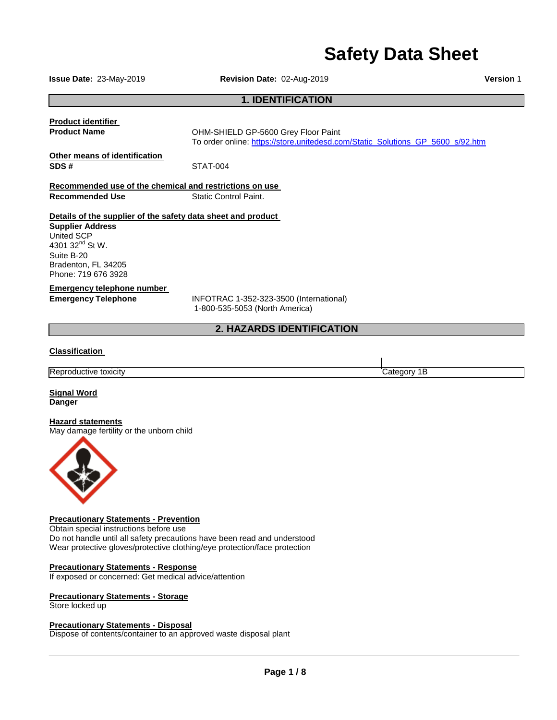# **Safety Data Sheet**

 $\mathbf{I}$ 

**Issue Date:** 23-May-2019 **Revision Date:** 02-Aug-2019 **Version** 1

#### **1. IDENTIFICATION**

| <b>Product identifier</b>                                                                                                                                                                        |                                                                                |  |  |
|--------------------------------------------------------------------------------------------------------------------------------------------------------------------------------------------------|--------------------------------------------------------------------------------|--|--|
| <b>Product Name</b>                                                                                                                                                                              | OHM-SHIELD GP-5600 Grey Floor Paint                                            |  |  |
|                                                                                                                                                                                                  | To order online: https://store.unitedesd.com/Static_Solutions_GP_5600_s/92.htm |  |  |
| Other means of identification<br>SDS#                                                                                                                                                            | STAT-004                                                                       |  |  |
| Recommended use of the chemical and restrictions on use                                                                                                                                          |                                                                                |  |  |
| <b>Recommended Use</b>                                                                                                                                                                           | Static Control Paint.                                                          |  |  |
| Details of the supplier of the safety data sheet and product<br><b>Supplier Address</b><br>United SCP<br>4301 32 <sup>nd</sup> St W.<br>Suite B-20<br>Bradenton, FL 34205<br>Phone: 719 676 3928 |                                                                                |  |  |
| Emergency telephone number                                                                                                                                                                       |                                                                                |  |  |
| <b>Emergency Telephone</b>                                                                                                                                                                       | INFOTRAC 1-352-323-3500 (International)<br>1-800-535-5053 (North America)      |  |  |
|                                                                                                                                                                                                  | <b>2. HAZARDS IDENTIFICATION</b>                                               |  |  |
| <b>Classification</b>                                                                                                                                                                            |                                                                                |  |  |

| ΙR<br>*IL.<br>'''<br>. | - |
|------------------------|---|

**Signal Word Danger**

#### **Hazard statements**

May damage fertility or the unborn child



### **Precautionary Statements - Prevention**

Obtain special instructions before use Do not handle until all safety precautions have been read and understood Wear protective gloves/protective clothing/eye protection/face protection

#### **Precautionary Statements - Response**

If exposed or concerned: Get medical advice/attention

#### **Precautionary Statements - Storage**

Store locked up

#### **Precautionary Statements - Disposal**

Dispose of contents/container to an approved waste disposal plant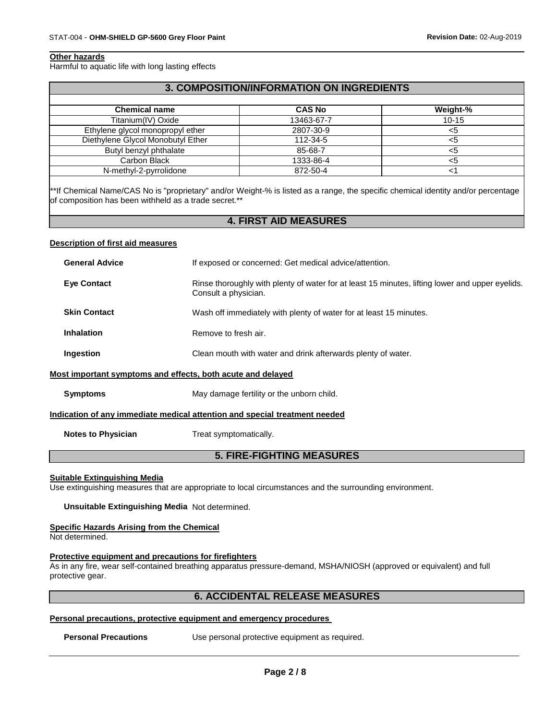#### **Other hazards**

Harmful to aquatic life with long lasting effects

#### **3. COMPOSITION/INFORMATION ON INGREDIENTS**

| <b>Chemical name</b>              | <b>CAS No</b> | Weight-%  |
|-----------------------------------|---------------|-----------|
| Titanium(IV) Oxide                | 13463-67-7    | $10 - 15$ |
| Ethylene glycol monopropyl ether  | 2807-30-9     | <5        |
| Diethylene Glycol Monobutyl Ether | 112-34-5      | <5        |
| Butyl benzyl phthalate            | 85-68-7       | <5        |
| Carbon Black                      | 1333-86-4     | <5        |
| N-methyl-2-pyrrolidone            | 872-50-4      |           |

\*\*If Chemical Name/CAS No is "proprietary" and/or Weight-% is listed as a range, the specific chemical identity and/or percentage of composition has been withheld as a trade secret.\*\*

## **4. FIRST AID MEASURES**

#### **Description of first aid measures**

| <b>General Advice</b>                                                      | If exposed or concerned: Get medical advice/attention.                                                                  |  |
|----------------------------------------------------------------------------|-------------------------------------------------------------------------------------------------------------------------|--|
| <b>Eye Contact</b>                                                         | Rinse thoroughly with plenty of water for at least 15 minutes, lifting lower and upper eyelids.<br>Consult a physician. |  |
| <b>Skin Contact</b>                                                        | Wash off immediately with plenty of water for at least 15 minutes.                                                      |  |
| <b>Inhalation</b>                                                          | Remove to fresh air.                                                                                                    |  |
| Ingestion                                                                  | Clean mouth with water and drink afterwards plenty of water.                                                            |  |
| Most important symptoms and effects, both acute and delayed                |                                                                                                                         |  |
| <b>Symptoms</b>                                                            | May damage fertility or the unborn child.                                                                               |  |
| Indication of any immediate medical attention and special treatment needed |                                                                                                                         |  |
| <b>Notes to Physician</b>                                                  | Treat symptomatically.                                                                                                  |  |
|                                                                            |                                                                                                                         |  |

# **5. FIRE-FIGHTING MEASURES**

#### **Suitable Extinguishing Media**

Use extinguishing measures that are appropriate to local circumstances and the surrounding environment.

#### **Unsuitable Extinguishing Media** Not determined.

#### **Specific Hazards Arising from the Chemical**

Not determined.

#### **Protective equipment and precautions for firefighters**

As in any fire, wear self-contained breathing apparatus pressure-demand, MSHA/NIOSH (approved or equivalent) and full protective gear.

#### **6. ACCIDENTAL RELEASE MEASURES**

#### **Personal precautions, protective equipment and emergency procedures**

**Personal Precautions** Use personal protective equipment as required.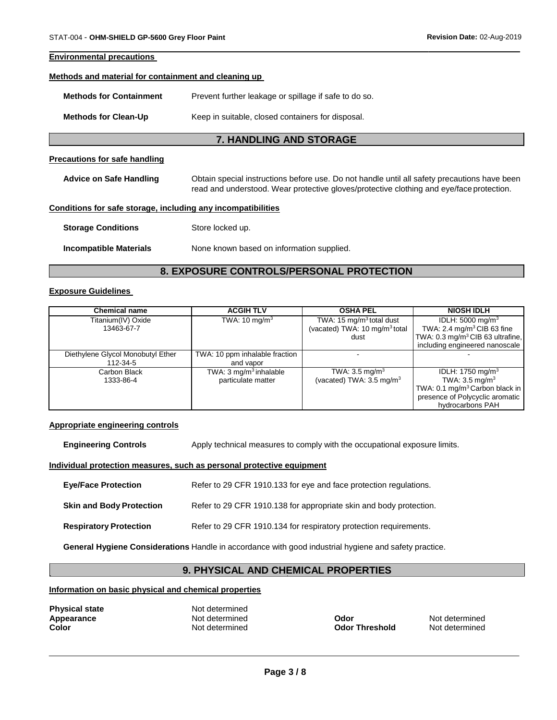#### **Environmental precautions**

#### **Methods and material for containment and cleaning up**

**Methods for Clean-Up** Keep in suitable, closed containers for disposal.

#### **7. HANDLING AND STORAGE**

#### **Precautions for safe handling**

**Advice on Safe Handling** Obtain special instructions before use. Do not handle until all safety precautions have been read and understood. Wear protective gloves/protective clothing and eye/face protection.

#### **Conditions for safe storage, including any incompatibilities**

| <b>Storage Conditions</b> | Store locked up. |
|---------------------------|------------------|
|                           |                  |

**Incompatible Materials** None known based on information supplied.

#### **8. EXPOSURE CONTROLS/PERSONAL PROTECTION**

#### **Exposure Guidelines**

| <b>Chemical name</b>              | <b>ACGIH TLV</b>                  | <b>OSHA PEL</b>                           | <b>NIOSH IDLH</b>                           |
|-----------------------------------|-----------------------------------|-------------------------------------------|---------------------------------------------|
| Titanium(IV) Oxide                | TWA: $10 \text{ mg/m}^3$          | TWA: 15 mg/m <sup>3</sup> total dust      | IDLH: $5000 \text{ mg/m}^3$                 |
| 13463-67-7                        |                                   | (vacated) TWA: 10 mg/m <sup>3</sup> total | TWA: 2.4 mg/m <sup>3</sup> CIB 63 fine      |
|                                   |                                   | dust                                      | TWA: $0.3 \text{ mg/m}^3$ CIB 63 ultrafine, |
|                                   |                                   |                                           | including engineered nanoscale              |
| Diethylene Glycol Monobutyl Ether | TWA: 10 ppm inhalable fraction    |                                           |                                             |
| 112-34-5                          | and vapor                         |                                           |                                             |
| Carbon Black                      | TWA: $3 \text{ mg/m}^3$ inhalable | TWA: $3.5 \text{ mg/m}^3$                 | IDLH: 1750 mg/m <sup>3</sup>                |
| 1333-86-4                         | particulate matter                | (vacated) TWA: $3.5 \text{ mg/m}^3$       | TWA: $3.5 \text{ mg/m}^3$                   |
|                                   |                                   |                                           | TWA: 0.1 mg/m <sup>3</sup> Carbon black in  |
|                                   |                                   |                                           | presence of Polycyclic aromatic             |
|                                   |                                   |                                           | hydrocarbons PAH                            |

#### **Appropriate engineering controls**

**Engineering Controls** Apply technical measures to comply with the occupational exposure limits.

#### **Individual protection measures, such as personal protective equipment**

| <b>Eye/Face Protection</b>      | Refer to 29 CFR 1910.133 for eye and face protection regulations.  |
|---------------------------------|--------------------------------------------------------------------|
| <b>Skin and Body Protection</b> | Refer to 29 CFR 1910.138 for appropriate skin and body protection. |
| <b>Respiratory Protection</b>   | Refer to 29 CFR 1910.134 for respiratory protection requirements.  |

**General Hygiene Considerations** Handle in accordance with good industrial hygiene and safety practice.

#### **9. PHYSICAL AND CHEMICAL PROPERTIES**

#### **Information on basic physical and chemical properties**

| <b>Physical state</b> | Not determined |
|-----------------------|----------------|
| Appearance            | Not determined |
| Color                 | Not determined |

**Apple 2018** Not determined **Odor Threshold** Not determined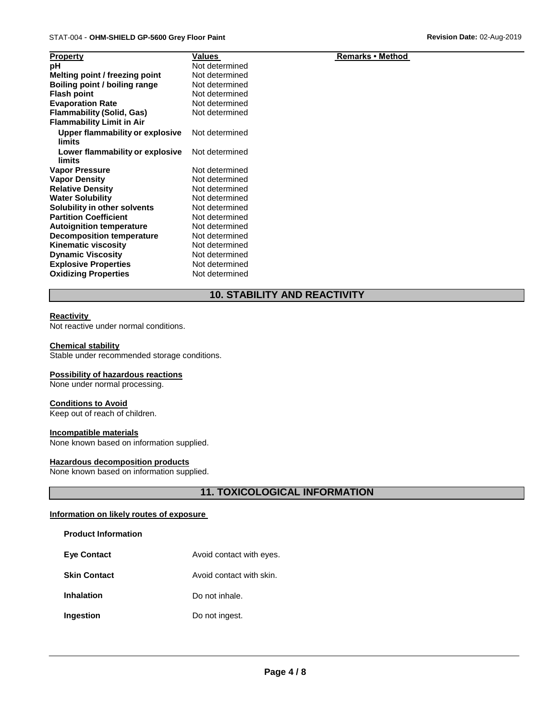**Remarks • Method** 

| <b>Property</b>                           | Values         |
|-------------------------------------------|----------------|
| рH                                        | Not determined |
| Melting point / freezing point            | Not determined |
| <b>Boiling point / boiling range</b>      | Not determined |
| <b>Flash point</b>                        | Not determined |
| <b>Evaporation Rate</b>                   | Not determined |
| <b>Flammability (Solid, Gas)</b>          | Not determined |
| <b>Flammability Limit in Air</b>          |                |
| Upper flammability or explosive           | Not determined |
| limits                                    |                |
| Lower flammability or explosive<br>limits | Not determined |
| <b>Vapor Pressure</b>                     | Not determined |
| <b>Vapor Density</b>                      | Not determined |
| <b>Relative Density</b>                   | Not determined |
| <b>Water Solubility</b>                   | Not determined |
| Solubility in other solvents              | Not determined |
| <b>Partition Coefficient</b>              | Not determined |
| <b>Autoignition temperature</b>           | Not determined |
| <b>Decomposition temperature</b>          | Not determined |
| Kinematic viscosity                       | Not determined |
| <b>Dynamic Viscosity</b>                  | Not determined |
| <b>Explosive Properties</b>               | Not determined |
| <b>Oxidizing Properties</b>               | Not determined |
|                                           |                |

# **10. STABILITY AND REACTIVITY**

#### **Reactivity**

Not reactive under normal conditions.

#### **Chemical stability**

Stable under recommended storage conditions.

#### **Possibility of hazardous reactions**

None under normal processing.

#### **Conditions to Avoid**

Keep out of reach of children.

#### **Incompatible materials**

None known based on information supplied.

#### **Hazardous decomposition products**

None known based on information supplied.

# **11. TOXICOLOGICAL INFORMATION**

#### **Information on likely routes of exposure**

**Product Information**

| <b>Eye Contact</b> | Avoid contact with eyes. |
|--------------------|--------------------------|
|--------------------|--------------------------|

- **Skin Contact Avoid contact with skin.**
- **Inhalation** Do not inhale.
- **Ingestion** Do not ingest.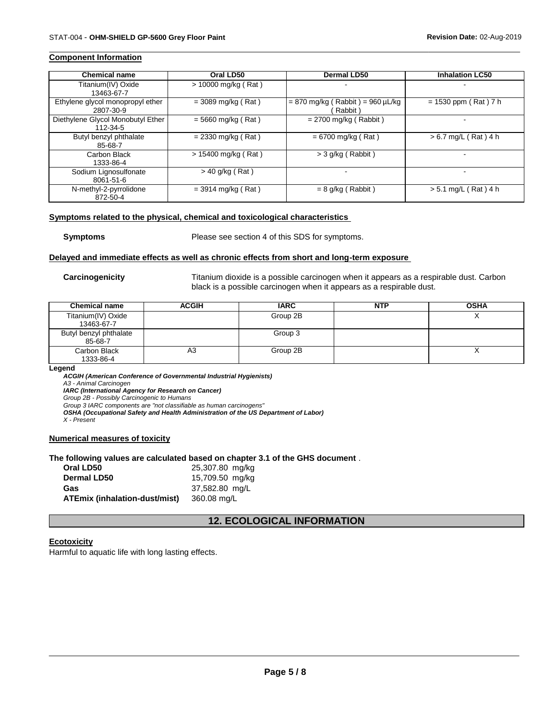#### **Component Information**

| <b>Chemical name</b>                          | Oral LD50             | <b>Dermal LD50</b>                            | <b>Inhalation LC50</b> |
|-----------------------------------------------|-----------------------|-----------------------------------------------|------------------------|
| Titanium(IV) Oxide<br>13463-67-7              | $> 10000$ mg/kg (Rat) |                                               |                        |
| Ethylene glycol monopropyl ether<br>2807-30-9 | $=$ 3089 mg/kg (Rat)  | $= 870$ mg/kg (Rabbit) = 960 µL/kg<br>Rabbit) | $= 1530$ ppm (Rat) 7 h |
| Diethylene Glycol Monobutyl Ether<br>112-34-5 | $= 5660$ mg/kg (Rat)  | $= 2700$ mg/kg (Rabbit)                       |                        |
| Butyl benzyl phthalate<br>85-68-7             | $= 2330$ mg/kg (Rat)  | $= 6700$ mg/kg (Rat)                          | $> 6.7$ mg/L (Rat) 4 h |
| Carbon Black<br>1333-86-4                     | $> 15400$ mg/kg (Rat) | $>$ 3 g/kg (Rabbit)                           |                        |
| Sodium Lignosulfonate<br>8061-51-6            | $>$ 40 g/kg (Rat)     |                                               |                        |
| N-methyl-2-pyrrolidone<br>872-50-4            | $=$ 3914 mg/kg (Rat)  | $= 8$ g/kg (Rabbit)                           | $> 5.1$ mg/L (Rat) 4 h |

#### **Symptoms related to the physical, chemical and toxicological characteristics**

**Symptoms** Please see section 4 of this SDS for symptoms.

#### **Delayed and immediate effects as well as chronic effects from short and long-term exposure**

**Carcinogenicity** Titanium dioxide is a possible carcinogen when it appears as a respirable dust. Carbon black is a possible carcinogen when it appears as a respirable dust.

| <b>Chemical name</b>              | <b>ACGIH</b> | <b>IARC</b> | NTP | <b>OSHA</b> |
|-----------------------------------|--------------|-------------|-----|-------------|
| Titanium(IV) Oxide<br>13463-67-7  |              | Group 2B    |     |             |
| Butyl benzyl phthalate<br>85-68-7 |              | Group 3     |     |             |
| Carbon Black<br>1333-86-4         | A3           | Group 2B    |     |             |

#### **Legend**

*ACGIH (American Conference of Governmental Industrial Hygienists)*

*A3 - Animal Carcinogen*

*IARC (International Agency for Research on Cancer)*

*Group 2B - Possibly Carcinogenic to Humans*

*Group 3 IARC components are "not classifiable as human carcinogens"*

*OSHA (Occupational Safety and Health Administration of the US Department of Labor)*

*X - Present*

#### **Numerical measures of toxicity**

#### **The following values are calculated based on chapter 3.1 of the GHS document** .

| Oral LD50                            | 25,307.80 mg/kg |
|--------------------------------------|-----------------|
| Dermal LD50                          | 15,709.50 mg/kg |
| Gas                                  | 37,582.80 mg/L  |
| <b>ATEmix (inhalation-dust/mist)</b> | 360.08 mg/L     |

# **12. ECOLOGICAL INFORMATION**

#### **Ecotoxicity**

Harmful to aquatic life with long lasting effects.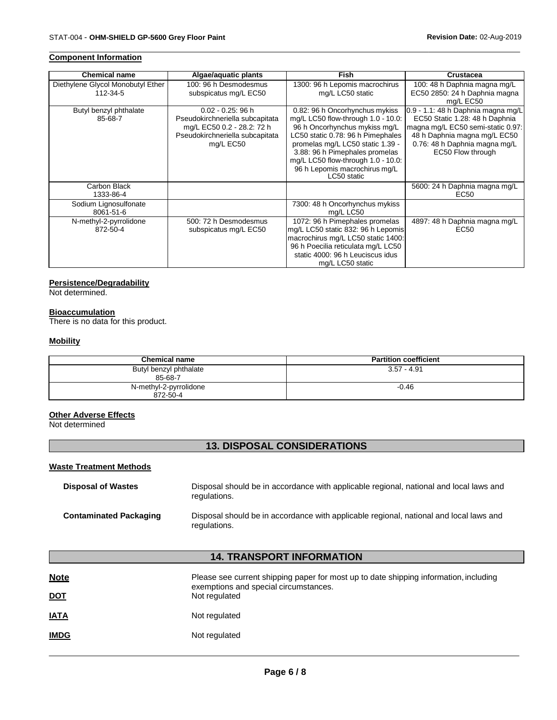#### **Component Information**

| <b>Chemical name</b>                          | Algae/aquatic plants                                                                                                                  | Fish                                                                                                                                                                                                                                                                                                   | <b>Crustacea</b>                                                                                                                                                                                |
|-----------------------------------------------|---------------------------------------------------------------------------------------------------------------------------------------|--------------------------------------------------------------------------------------------------------------------------------------------------------------------------------------------------------------------------------------------------------------------------------------------------------|-------------------------------------------------------------------------------------------------------------------------------------------------------------------------------------------------|
| Diethylene Glycol Monobutyl Ether<br>112-34-5 | 100: 96 h Desmodesmus<br>subspicatus mg/L EC50                                                                                        | 1300: 96 h Lepomis macrochirus<br>mg/L LC50 static                                                                                                                                                                                                                                                     | 100: 48 h Daphnia magna mg/L<br>EC50 2850: 24 h Daphnia magna<br>mg/L EC50                                                                                                                      |
| Butyl benzyl phthalate<br>85-68-7             | $0.02 - 0.25$ : 96 h<br>Pseudokirchneriella subcapitata<br>mg/L EC50 0.2 - 28.2: 72 h<br>Pseudokirchneriella subcapitata<br>mg/L EC50 | 0.82: 96 h Oncorhynchus mykiss<br>mg/L LC50 flow-through 1.0 - 10.0:<br>96 h Oncorhynchus mykiss mg/L<br>LC50 static 0.78: 96 h Pimephales<br>promelas mg/L LC50 static 1.39 -<br>3.88: 96 h Pimephales promelas<br>mg/L LC50 flow-through 1.0 - 10.0:<br>96 h Lepomis macrochirus mg/L<br>LC50 static | 0.9 - 1.1: 48 h Daphnia magna mg/L<br>EC50 Static 1.28: 48 h Daphnia<br>magna mg/L EC50 semi-static 0.97:<br>48 h Daphnia magna mg/L EC50<br>0.76: 48 h Daphnia magna mg/L<br>EC50 Flow through |
| Carbon Black<br>1333-86-4                     |                                                                                                                                       |                                                                                                                                                                                                                                                                                                        | 5600: 24 h Daphnia magna mg/L<br>EC50                                                                                                                                                           |
| Sodium Lignosulfonate<br>8061-51-6            |                                                                                                                                       | 7300: 48 h Oncorhynchus mykiss<br>mg/L LC50                                                                                                                                                                                                                                                            |                                                                                                                                                                                                 |
| N-methyl-2-pyrrolidone<br>872-50-4            | 500: 72 h Desmodesmus<br>subspicatus mg/L EC50                                                                                        | 1072: 96 h Pimephales promelas<br>mg/L LC50 static 832: 96 h Lepomis<br>macrochirus mg/L LC50 static 1400:<br>96 h Poecilia reticulata mg/L LC50<br>static 4000: 96 h Leuciscus idus<br>mg/L LC50 static                                                                                               | 4897: 48 h Daphnia magna mg/L<br>EC50                                                                                                                                                           |

#### **Persistence/Degradability**

Not determined.

#### **Bioaccumulation**

There is no data for this product.

#### **Mobility**

| <b>Chemical name</b>               | <b>Partition coefficient</b> |
|------------------------------------|------------------------------|
| Butyl benzyl phthalate<br>85-68-7  | $3.57 - 4.91$                |
| N-methyl-2-pyrrolidone<br>872-50-4 | $-0.46$                      |

# **Other Adverse Effects**

Not determined

# **13. DISPOSAL CONSIDERATIONS**

### **Waste Treatment Methods**

| <b>Disposal of Wastes</b>     | Disposal should be in accordance with applicable regional, national and local laws and<br>regulations. |
|-------------------------------|--------------------------------------------------------------------------------------------------------|
| <b>Contaminated Packaging</b> | Disposal should be in accordance with applicable regional, national and local laws and<br>regulations. |

# **14. TRANSPORT INFORMATION**

| <b>Note</b><br><u>DOT</u> | Please see current shipping paper for most up to date shipping information, including<br>exemptions and special circumstances.<br>Not regulated |
|---------------------------|-------------------------------------------------------------------------------------------------------------------------------------------------|
| <u>IATA</u>               | Not regulated                                                                                                                                   |
| <b>IMDG</b>               | Not regulated                                                                                                                                   |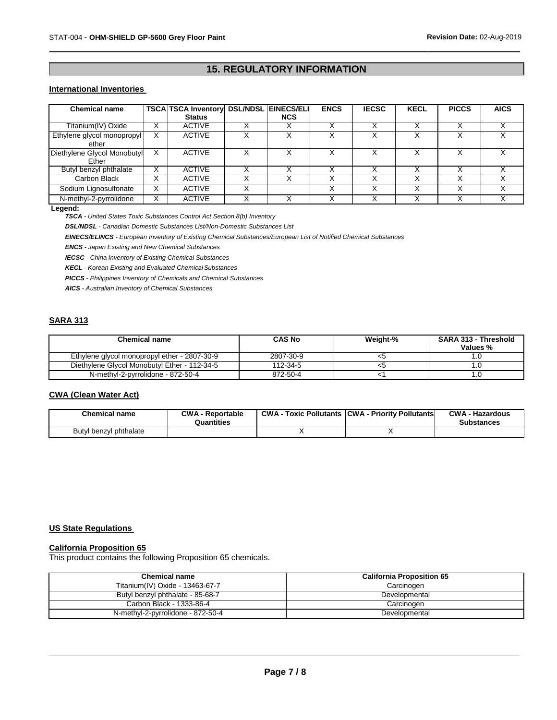# **15. REGULATORY INFORMATION**

#### **International Inventories**

| <b>Chemical name</b>        | <b>TSCA TSCA Inventory DSL/NDSL EINECS/ELI</b> |   |            | <b>ENCS</b> | <b>IECSC</b>      | <b>KECL</b> | <b>PICCS</b> | <b>AICS</b> |
|-----------------------------|------------------------------------------------|---|------------|-------------|-------------------|-------------|--------------|-------------|
|                             | <b>Status</b>                                  |   | <b>NCS</b> |             |                   |             |              |             |
| Titanium(IV) Oxide          | <b>ACTIVE</b>                                  |   |            |             | ∧                 |             |              |             |
| Ethylene glycol monopropyl  | <b>ACTIVE</b>                                  |   |            |             |                   |             |              |             |
| ether                       |                                                |   |            |             |                   |             |              |             |
| Diethylene Glycol Monobutyl | <b>ACTIVE</b>                                  |   |            |             |                   |             |              |             |
| Ether                       |                                                |   |            |             |                   |             |              |             |
| Butyl benzyl phthalate      | <b>ACTIVE</b>                                  |   |            |             |                   |             |              |             |
| Carbon Black                | <b>ACTIVE</b>                                  |   |            |             |                   |             |              |             |
| Sodium Lignosulfonate       | <b>ACTIVE</b>                                  | v |            | X           | $\checkmark$<br>∧ |             | $\checkmark$ | Χ           |
| N-methyl-2-pyrrolidone      | <b>ACTIVE</b>                                  |   |            |             |                   |             |              |             |

#### **Legend:**

*TSCA - United States Toxic Substances Control Act Section 8(b) Inventory*

*DSL/NDSL - Canadian Domestic Substances List/Non-Domestic Substances List*

*EINECS/ELINCS - European Inventory of Existing Chemical Substances/European List of Notified Chemical Substances*

*ENCS - Japan Existing and New Chemical Substances* 

*IECSC - China Inventory of Existing Chemical Substances* 

*KECL - Korean Existing and Evaluated ChemicalSubstances*

*PICCS - Philippines Inventory of Chemicals and Chemical Substances*

*AICS - Australian Inventory of Chemical Substances*

# **SARA 313**

| <b>Chemical name</b>                         | <b>CAS No</b> | Weight-% | SARA 313 - Threshold<br>Values % |
|----------------------------------------------|---------------|----------|----------------------------------|
| Ethylene glycol monopropyl ether - 2807-30-9 | 2807-30-9     | <≎       |                                  |
| Diethylene Glycol Monobutyl Ether - 112-34-5 | 112-34-5      | <σ       |                                  |
| N-methyl-2-pyrrolidone - 872-50-4            | 872-50-4      |          |                                  |

#### **CWA (Clean Water Act)**

| <b>Chemical name</b>   | <b>CWA - Reportable</b><br>Quantities | <b>CWA - Toxic Pollutants CWA - Priority Pollutants</b> | <b>CWA - Hazardous</b><br><b>Substances</b> |
|------------------------|---------------------------------------|---------------------------------------------------------|---------------------------------------------|
| Butyl benzyl phthalate |                                       |                                                         |                                             |

#### **US State Regulations**

#### **California Proposition 65**

This product contains the following Proposition 65 chemicals.

| <b>Chemical name</b>              | <b>California Proposition 65</b> |
|-----------------------------------|----------------------------------|
| Titanium(IV) Oxide - 13463-67-7   | Carcinogen                       |
| Butyl benzyl phthalate - 85-68-7  | Developmental                    |
| Carbon Black - 1333-86-4          | Carcinogen                       |
| N-methyl-2-pyrrolidone - 872-50-4 | Developmental                    |